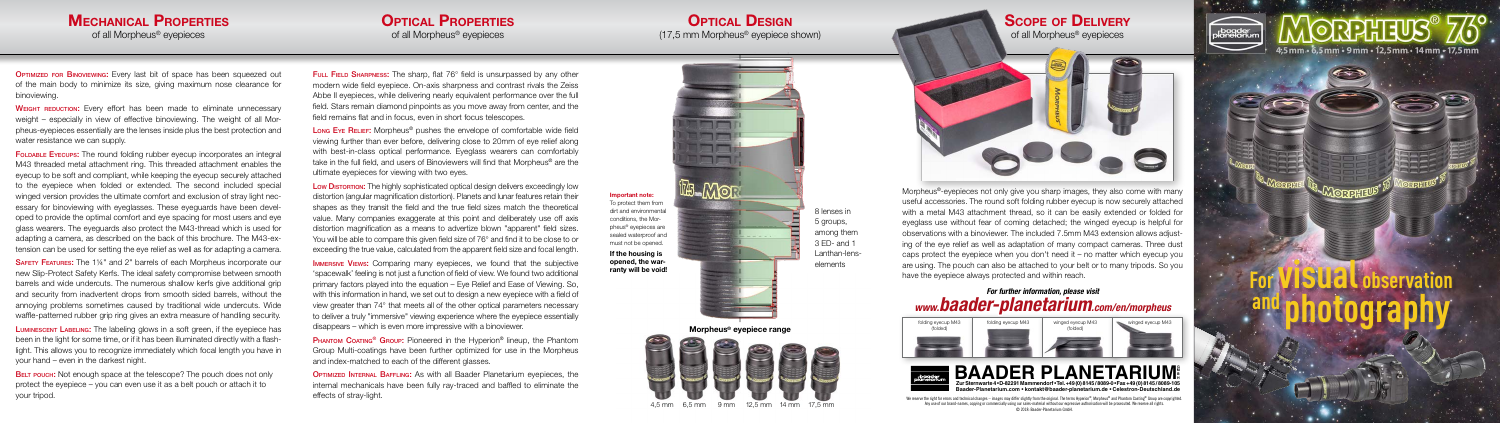

#### **MECHANICAL PROPERTIES** of all Morpheus® eyepieces

**OPTIMIZED FOR BINOVIEWING:** Every last bit of space has been squeezed out of the main body to minimize its size, giving maximum nose clearance for binoviewing.

WEIGHT REDUCTION: Every effort has been made to eliminate unnecessary weight – especially in view of effective binoviewing. The weight of all Morpheus-eyepieces essentially are the lenses inside plus the best protection and water resistance we can supply.

FOLDABLE EYECUPS: The round folding rubber eyecup incorporates an integral M43 threaded metal attachment ring. This threaded attachment enables the eyecup to be soft and compliant, while keeping the eyecup securely attached to the eyepiece when folded or extended. The second included special winged version provides the ultimate comfort and exclusion of stray light necessary for binoviewing with eyeglasses. These eyeguards have been developed to provide the optimal comfort and eye spacing for most users and eye glass wearers. The eyeguards also protect the M43-thread which is used for adapting a camera, as described on the back of this brochure. The M43-extension can be used for setting the eye relief as well as for adapting a camera.

LUMINESCENT LABELING: The labeling glows in a soft green, if the eyepiece has been in the light for some time, or if it has been illuminated directly with a flashlight. This allows you to recognize immediately which focal length you have in your hand – even in the darkest night.

BELT POUCH: Not enough space at the telescope? The pouch does not only protect the eyepiece – you can even use it as a belt pouch or attach it to

Safety Features: The 1¼" and 2" barrels of each Morpheus incorporate our new Slip-Protect Safety Kerfs. The ideal safety compromise between smooth barrels and wide undercuts. The numerous shallow kerfs give additional grip and security from inadvertent drops from smooth sided barrels, without the annoying problems sometimes caused by traditional wide undercuts. Wide waffle-patterned rubber grip ring gives an extra measure of handling security.

#### **OPTICAL DESIGN** (17,5 mm Morpheus® eyepiece shown)



FULL FIELD SHARPNESS: The sharp, flat 76° field is unsurpassed by any other modern wide field eyepiece. On-axis sharpness and contrast rivals the Zeiss Abbe II eyepieces, while delivering nearly equivalent performance over the full field. Stars remain diamond pinpoints as you move away from center, and the field remains flat and in focus, even in short focus telescopes.

Long Eye Relief: Morpheus<sup>®</sup> pushes the envelope of comfortable wide field viewing further than ever before, delivering close to 20mm of eye relief along with best-in-class optical performance. Eyeglass wearers can comfortably take in the full field, and users of Binoviewers will find that Morpheus® are the ultimate eyepieces for viewing with two eyes.

> Any use of our brand-names, copying or commercially using our sales-material without our expressive authorisation will be prosecuted. We reserve all rights. © 2018: Baader-Planetarium GmbH.

Low Distortion: The highly sophisticated optical design delivers exceedingly low distortion (angular magnification distortion). Planets and lunar features retain their shapes as they transit the field and the true field sizes match the theoretical value. Many companies exaggerate at this point and deliberately use off axis distortion magnification as a means to advertize blown "apparent" field sizes. You will be able to compare this given field size of 76° and find it to be close to or exceeding the true value, calculated from the apparent field size and focal length.



**IMMERSIVE VIEWS:** Comparing many evepieces, we found that the subjective 'spacewalk' feeling is not just a function of field of view. We found two additional primary factors played into the equation – Eye Relief and Ease of Viewing. So, with this information in hand, we set out to design a new eyepiece with a field of view greater than 74° that meets all of the other optical parameters necessary to deliver a truly "immersive" viewing experience where the eyepiece essentially disappears – which is even more impressive with a binoviewer.

**PHANTOM COATING<sup>®</sup> GROUP:** Pioneered in the Hyperion<sup>®</sup> lineup, the Phantom Group Multi-coatings have been further optimized for use in the Morpheus and index-matched to each of the different glasses.

Morpheus®-eyepieces not only give you sharp images, they also come with many useful accessories. The round soft folding rubber eyecup is now securely attached with a metal M43 attachment thread, so it can be easily extended or folded for eyeglass use without fear of coming detached; the winged eyecup is helpful for observations with a binoviewer. The included 7.5mm M43 extension allows adjusting of the eye relief as well as adaptation of many compact cameras. Three dust caps protect the eyepiece when you don't need it – no matter which eyecup you are using. The pouch can also be attached to your belt or to many tripods. So you have the eyepiece always protected and within reach.

your tripod. We reserve the right for errors and technical changes – images may differ slightly from the original. The terms Hyperion®, Morpheus® and Phantom Coating® Group are copyrighted. **OPTIMIZED INTERNAL BAFFLING:** As with all Baader Planetarium evenieces, the internal mechanicals have been fully ray-traced and baffled to eliminate the effects of stray-light.

#### **OPTICAL PROPERTIES** of all Morpheus® eyepieces



## *For further information, please visit www.baader-planetarium.com/en/morpheus*

8 lenses in 5 groups, among them 3 ED- and 1 Lanthan-lenselements





# **For visual observation and photography**